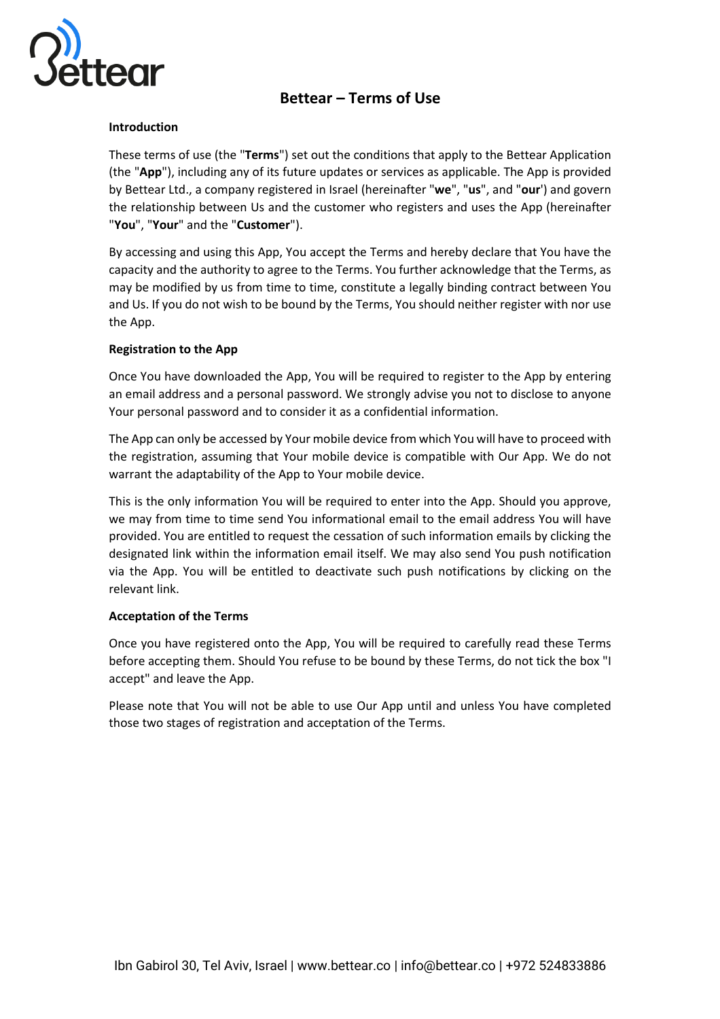

# **Bettear – Terms of Use**

## **Introduction**

These terms of use (the "**Terms**") set out the conditions that apply to the Bettear Application (the "**App**"), including any of its future updates or services as applicable. The App is provided by Bettear Ltd., a company registered in Israel (hereinafter "**we**", "**us**", and "**our**') and govern the relationship between Us and the customer who registers and uses the App (hereinafter "**You**", "**Your**" and the "**Customer**").

By accessing and using this App, You accept the Terms and hereby declare that You have the capacity and the authority to agree to the Terms. You further acknowledge that the Terms, as may be modified by us from time to time, constitute a legally binding contract between You and Us. If you do not wish to be bound by the Terms, You should neither register with nor use the App.

# **Registration to the App**

Once You have downloaded the App, You will be required to register to the App by entering an email address and a personal password. We strongly advise you not to disclose to anyone Your personal password and to consider it as a confidential information.

The App can only be accessed by Your mobile device from which You will have to proceed with the registration, assuming that Your mobile device is compatible with Our App. We do not warrant the adaptability of the App to Your mobile device.

This is the only information You will be required to enter into the App. Should you approve, we may from time to time send You informational email to the email address You will have provided. You are entitled to request the cessation of such information emails by clicking the designated link within the information email itself. We may also send You push notification via the App. You will be entitled to deactivate such push notifications by clicking on the relevant link.

## **Acceptation of the Terms**

Once you have registered onto the App, You will be required to carefully read these Terms before accepting them. Should You refuse to be bound by these Terms, do not tick the box "I accept" and leave the App.

Please note that You will not be able to use Our App until and unless You have completed those two stages of registration and acceptation of the Terms.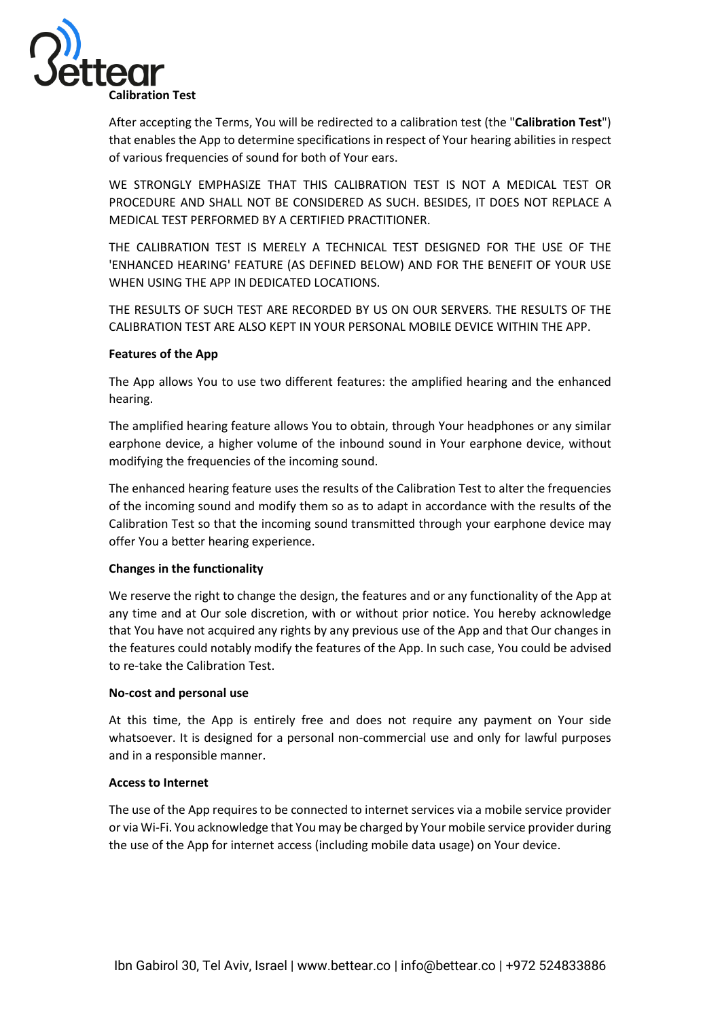

After accepting the Terms, You will be redirected to a calibration test (the "**Calibration Test**") that enables the App to determine specifications in respect of Your hearing abilities in respect of various frequencies of sound for both of Your ears.

WE STRONGLY EMPHASIZE THAT THIS CALIBRATION TEST IS NOT A MEDICAL TEST OR PROCEDURE AND SHALL NOT BE CONSIDERED AS SUCH. BESIDES, IT DOES NOT REPLACE A MEDICAL TEST PERFORMED BY A CERTIFIED PRACTITIONER.

THE CALIBRATION TEST IS MERELY A TECHNICAL TEST DESIGNED FOR THE USE OF THE 'ENHANCED HEARING' FEATURE (AS DEFINED BELOW) AND FOR THE BENEFIT OF YOUR USE WHEN USING THE APP IN DEDICATED LOCATIONS.

THE RESULTS OF SUCH TEST ARE RECORDED BY US ON OUR SERVERS. THE RESULTS OF THE CALIBRATION TEST ARE ALSO KEPT IN YOUR PERSONAL MOBILE DEVICE WITHIN THE APP.

## **Features of the App**

The App allows You to use two different features: the amplified hearing and the enhanced hearing.

The amplified hearing feature allows You to obtain, through Your headphones or any similar earphone device, a higher volume of the inbound sound in Your earphone device, without modifying the frequencies of the incoming sound.

The enhanced hearing feature uses the results of the Calibration Test to alter the frequencies of the incoming sound and modify them so as to adapt in accordance with the results of the Calibration Test so that the incoming sound transmitted through your earphone device may offer You a better hearing experience.

## **Changes in the functionality**

We reserve the right to change the design, the features and or any functionality of the App at any time and at Our sole discretion, with or without prior notice. You hereby acknowledge that You have not acquired any rights by any previous use of the App and that Our changes in the features could notably modify the features of the App. In such case, You could be advised to re-take the Calibration Test.

#### **No-cost and personal use**

At this time, the App is entirely free and does not require any payment on Your side whatsoever. It is designed for a personal non-commercial use and only for lawful purposes and in a responsible manner.

#### **Access to Internet**

The use of the App requires to be connected to internet services via a mobile service provider or via Wi-Fi. You acknowledge that You may be charged by Your mobile service provider during the use of the App for internet access (including mobile data usage) on Your device.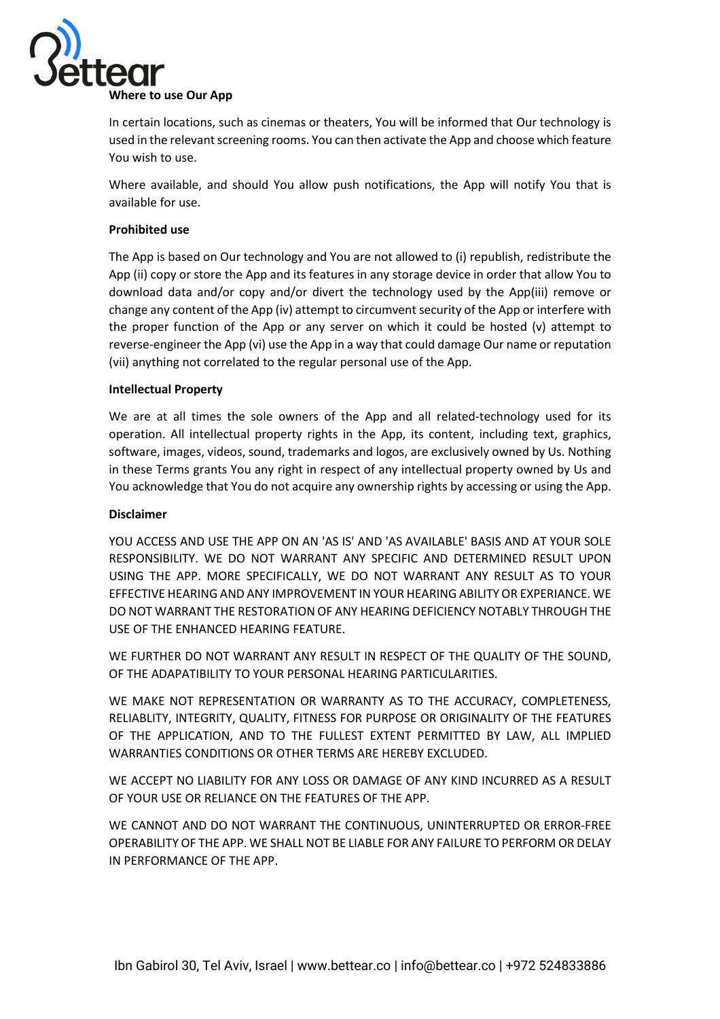

In certain locations, such as cinemas or theaters, You will be informed that Our technology is used in the relevant screening rooms. You can then activate the App and choose which feature You wish to use.

Where available, and should You allow push notifications, the App will notify You that is available for use.

## **Prohibited use**

The App is based on Our technology and You are not allowed to (i) republish, redistribute the App (ii) copy or store the App and its features in any storage device in order that allow You to download data and/or copy and/or divert the technology used by the App(iii) remove or change any content of the App (iv) attempt to circumvent security of the App or interfere with the proper function of the App or any server on which it could be hosted (v) attempt to reverse-engineer the App (vi) use the App in a way that could damage Our name or reputation (vii) anything not correlated to the regular personal use of the App.

#### **Intellectual Property**

We are at all times the sole owners of the App and all related-technology used for its operation. All intellectual property rights in the App, its content, including text, graphics, software, images, videos, sound, trademarks and logos, are exclusively owned by Us. Nothing in these Terms grants You any right in respect of any intellectual property owned by Us and You acknowledge that You do not acquire any ownership rights by accessing or using the App.

#### **Disclaimer**

YOU ACCESS AND USE THE APP ON AN 'AS IS' AND 'AS AVAILABLE' BASIS AND AT YOUR SOLE RESPONSIBILITY. WE DO NOT WARRANT ANY SPECIFIC AND DETERMINED RESULT UPON USING THE APP. MORE SPECIFICALLY, WE DO NOT WARRANT ANY RESULT AS TO YOUR EFFECTIVE HEARING AND ANY IMPROVEMENT IN YOUR HEARING ABILITY OR EXPERIANCE. WE DO NOT WARRANT THE RESTORATION OF ANY HEARING DEFICIENCY NOTABLY THROUGH THE USE OF THE ENHANCED HEARING FEATURE.

WE FURTHER DO NOT WARRANT ANY RESULT IN RESPECT OF THE QUALITY OF THE SOUND, OF THE ADAPATIBILITY TO YOUR PERSONAL HEARING PARTICULARITIES.

WE MAKE NOT REPRESENTATION OR WARRANTY AS TO THE ACCURACY, COMPLETENESS, RELIABLITY, INTEGRITY, QUALITY, FITNESS FOR PURPOSE OR ORIGINALITY OF THE FEATURES OF THE APPLICATION, AND TO THE FULLEST EXTENT PERMITTED BY LAW, ALL IMPLIED WARRANTIES CONDITIONS OR OTHER TERMS ARE HEREBY EXCLUDED.

WE ACCEPT NO LIABILITY FOR ANY LOSS OR DAMAGE OF ANY KIND INCURRED AS A RESULT OF YOUR USE OR RELIANCE ON THE FEATURES OF THE APP.

WE CANNOT AND DO NOT WARRANT THE CONTINUOUS, UNINTERRUPTED OR ERROR-FREE OPERABILITY OF THE APP. WE SHALL NOT BE LIABLE FOR ANY FAILURE TO PERFORM OR DELAY IN PERFORMANCE OF THE APP.